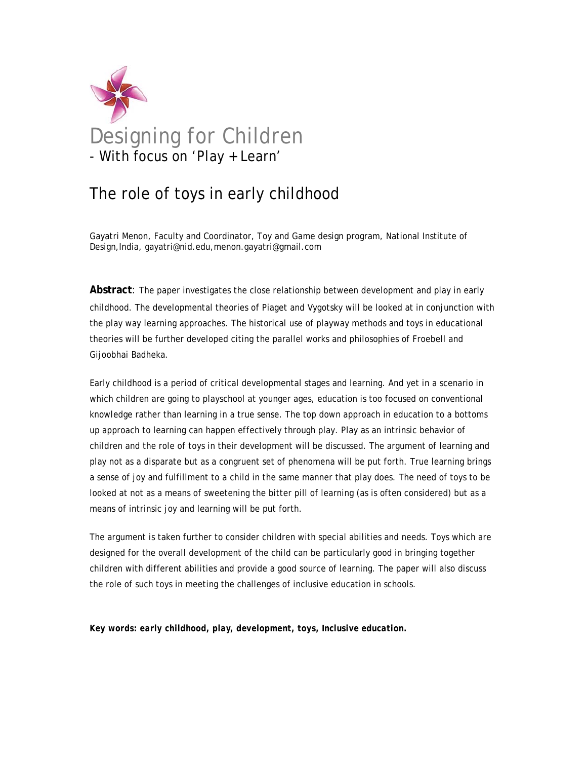

# The role of toys in early childhood

Gayatri Menon, Faculty and Coordinator, Toy and Game design program, National Institute of Design,India, gayatri@nid.edu,menon.gayatri@gmail.com

**Abstract**: The paper investigates the close relationship between development and play in early childhood. The developmental theories of Piaget and Vygotsky will be looked at in conjunction with the play way learning approaches. The historical use of playway methods and toys in educational theories will be further developed citing the parallel works and philosophies of Froebell and Gijoobhai Badheka.

Early childhood is a period of critical developmental stages and learning. And yet in a scenario in which children are going to playschool at younger ages, education is too focused on conventional knowledge rather than learning in a true sense. The top down approach in education to a bottoms up approach to learning can happen effectively through play. Play as an intrinsic behavior of children and the role of toys in their development will be discussed. The argument of learning and play not as a disparate but as a congruent set of phenomena will be put forth. True learning brings a sense of joy and fulfillment to a child in the same manner that play does. The need of toys to be looked at not as a means of sweetening the bitter pill of learning (as is often considered) but as a means of intrinsic joy and learning will be put forth.

The argument is taken further to consider children with special abilities and needs. Toys which are designed for the overall development of the child can be particularly good in bringing together children with different abilities and provide a good source of learning. The paper will also discuss the role of such toys in meeting the challenges of inclusive education in schools.

*Key words: early childhood, play, development, toys, Inclusive education.*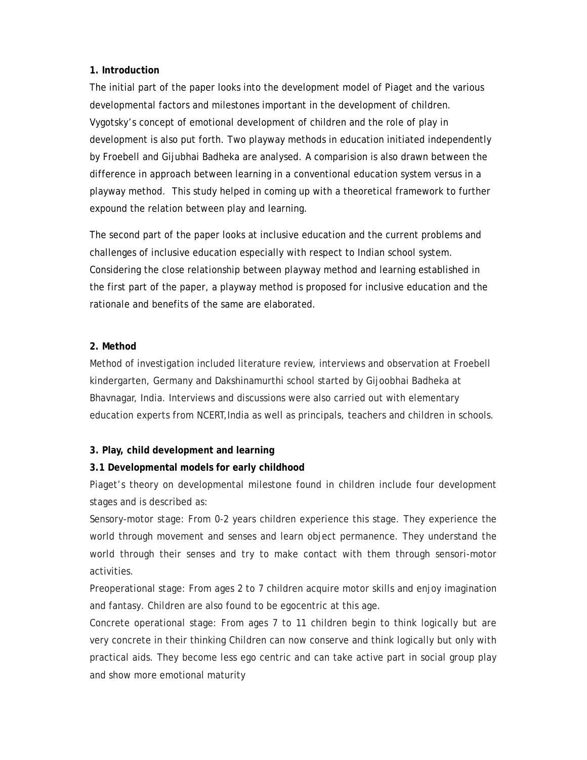## **1. Introduction**

The initial part of the paper looks into the development model of Piaget and the various developmental factors and milestones important in the development of children. Vygotsky's concept of emotional development of children and the role of play in development is also put forth. Two playway methods in education initiated independently by Froebell and Gijubhai Badheka are analysed. A comparision is also drawn between the difference in approach between learning in a conventional education system versus in a playway method. This study helped in coming up with a theoretical framework to further expound the relation between play and learning.

The second part of the paper looks at inclusive education and the current problems and challenges of inclusive education especially with respect to Indian school system. Considering the close relationship between playway method and learning established in the first part of the paper, a playway method is proposed for inclusive education and the rationale and benefits of the same are elaborated.

# **2. Method**

Method of investigation included literature review, interviews and observation at Froebell kindergarten, Germany and Dakshinamurthi school started by Gijoobhai Badheka at Bhavnagar, India. Interviews and discussions were also carried out with elementary education experts from NCERT,India as well as principals, teachers and children in schools.

## **3. Play, child development and learning**

# **3.1 Developmental models for early childhood**

Piaget's theory on developmental milestone found in children include four development stages and is described as:

Sensory-motor stage: From 0-2 years children experience this stage. They experience the world through movement and senses and learn object permanence. They understand the world through their senses and try to make contact with them through sensori-motor activities.

Preoperational stage: From ages 2 to 7 children acquire motor skills and enjoy imagination and fantasy. Children are also found to be egocentric at this age.

Concrete operational stage: From ages 7 to 11 children begin to think logically but are very concrete in their thinking Children can now conserve and think logically but only with practical aids. They become less ego centric and can take active part in social group play and show more emotional maturity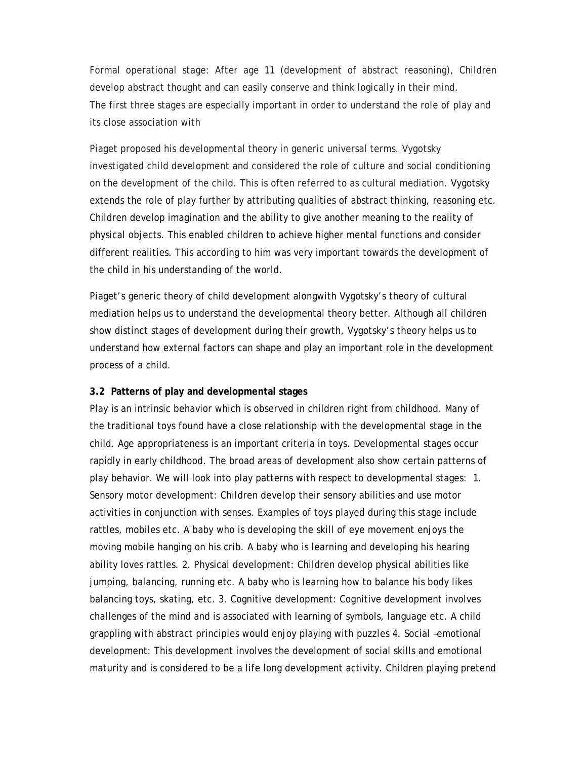Formal operational stage: After age 11 (development of abstract reasoning), Children develop abstract thought and can easily conserve and think logically in their mind. The first three stages are especially important in order to understand the role of play and its close association with

Piaget proposed his developmental theory in generic universal terms. Vygotsky investigated child development and considered the role of culture and social conditioning on the development of the child. This is often referred to as cultural mediation. Vygotsky extends the role of play further by attributing qualities of abstract thinking, reasoning etc. Children develop imagination and the ability to give another meaning to the reality of physical objects. This enabled children to achieve higher mental functions and consider different realities. This according to him was very important towards the development of the child in his understanding of the world.

Piaget's generic theory of child development alongwith Vygotsky's theory of cultural mediation helps us to understand the developmental theory better. Although all children show distinct stages of development during their growth, Vygotsky's theory helps us to understand how external factors can shape and play an important role in the development process of a child.

#### **3.2 Patterns of play and developmental stages**

Play is an intrinsic behavior which is observed in children right from childhood. Many of the traditional toys found have a close relationship with the developmental stage in the child. Age appropriateness is an important criteria in toys. Developmental stages occur rapidly in early childhood. The broad areas of development also show certain patterns of play behavior. We will look into play patterns with respect to developmental stages: 1. Sensory motor development: Children develop their sensory abilities and use motor activities in conjunction with senses. Examples of toys played during this stage include rattles, mobiles etc. A baby who is developing the skill of eye movement enjoys the moving mobile hanging on his crib. A baby who is learning and developing his hearing ability loves rattles. 2. Physical development: Children develop physical abilities like jumping, balancing, running etc. A baby who is learning how to balance his body likes balancing toys, skating, etc. 3. Cognitive development: Cognitive development involves challenges of the mind and is associated with learning of symbols, language etc. A child grappling with abstract principles would enjoy playing with puzzles 4. Social –emotional development: This development involves the development of social skills and emotional maturity and is considered to be a life long development activity. Children playing pretend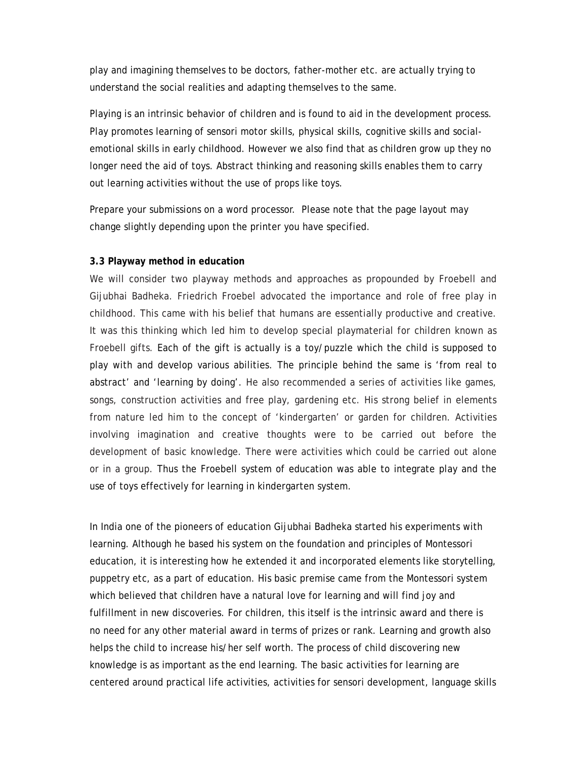play and imagining themselves to be doctors, father-mother etc. are actually trying to understand the social realities and adapting themselves to the same.

Playing is an intrinsic behavior of children and is found to aid in the development process. Play promotes learning of sensori motor skills, physical skills, cognitive skills and socialemotional skills in early childhood. However we also find that as children grow up they no longer need the aid of toys. Abstract thinking and reasoning skills enables them to carry out learning activities without the use of props like toys.

Prepare your submissions on a word processor. Please note that the page layout may change slightly depending upon the printer you have specified.

#### **3.3 Playway method in education**

We will consider two playway methods and approaches as propounded by Froebell and Gijubhai Badheka. Friedrich Froebel advocated the importance and role of free play in childhood. This came with his belief that humans are essentially productive and creative. It was this thinking which led him to develop special playmaterial for children known as Froebell gifts. Each of the gift is actually is a toy/puzzle which the child is supposed to play with and develop various abilities. The principle behind the same is 'from real to abstract' and 'learning by doing'. He also recommended a series of activities like games, songs, construction activities and free play, gardening etc. His strong belief in elements from nature led him to the concept of 'kindergarten' or garden for children. Activities involving imagination and creative thoughts were to be carried out before the development of basic knowledge. There were activities which could be carried out alone or in a group. Thus the Froebell system of education was able to integrate play and the use of toys effectively for learning in kindergarten system.

In India one of the pioneers of education Gijubhai Badheka started his experiments with learning. Although he based his system on the foundation and principles of Montessori education, it is interesting how he extended it and incorporated elements like storytelling, puppetry etc, as a part of education. His basic premise came from the Montessori system which believed that children have a natural love for learning and will find joy and fulfillment in new discoveries. For children, this itself is the intrinsic award and there is no need for any other material award in terms of prizes or rank. Learning and growth also helps the child to increase his/her self worth. The process of child discovering new knowledge is as important as the end learning. The basic activities for learning are centered around practical life activities, activities for sensori development, language skills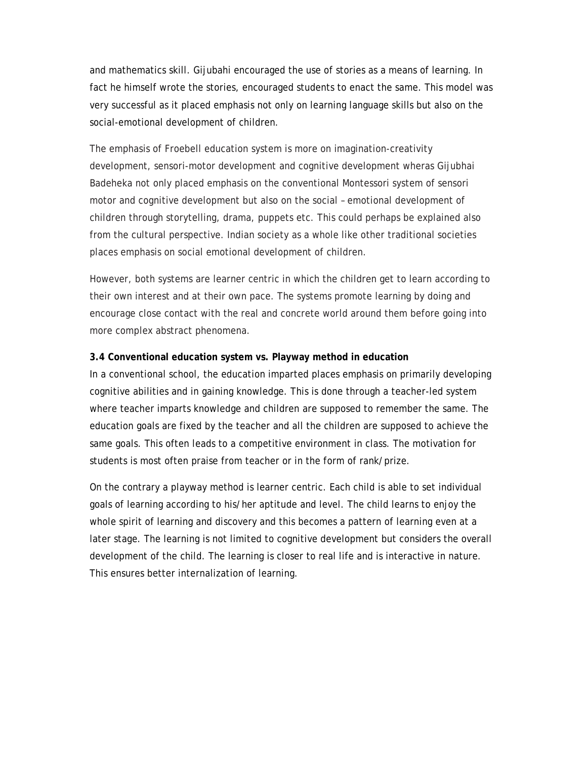and mathematics skill. Gijubahi encouraged the use of stories as a means of learning. In fact he himself wrote the stories, encouraged students to enact the same. This model was very successful as it placed emphasis not only on learning language skills but also on the social-emotional development of children.

The emphasis of Froebell education system is more on imagination-creativity development, sensori-motor development and cognitive development wheras Gijubhai Badeheka not only placed emphasis on the conventional Montessori system of sensori motor and cognitive development but also on the social – emotional development of children through storytelling, drama, puppets etc. This could perhaps be explained also from the cultural perspective. Indian society as a whole like other traditional societies places emphasis on social emotional development of children.

However, both systems are learner centric in which the children get to learn according to their own interest and at their own pace. The systems promote learning by doing and encourage close contact with the real and concrete world around them before going into more complex abstract phenomena.

#### **3.4 Conventional education system vs. Playway method in education**

In a conventional school, the education imparted places emphasis on primarily developing cognitive abilities and in gaining knowledge. This is done through a teacher-led system where teacher imparts knowledge and children are supposed to remember the same. The education goals are fixed by the teacher and all the children are supposed to achieve the same goals. This often leads to a competitive environment in class. The motivation for students is most often praise from teacher or in the form of rank/prize.

On the contrary a playway method is learner centric. Each child is able to set individual goals of learning according to his/her aptitude and level. The child learns to enjoy the whole spirit of learning and discovery and this becomes a pattern of learning even at a later stage. The learning is not limited to cognitive development but considers the overall development of the child. The learning is closer to real life and is interactive in nature. This ensures better internalization of learning.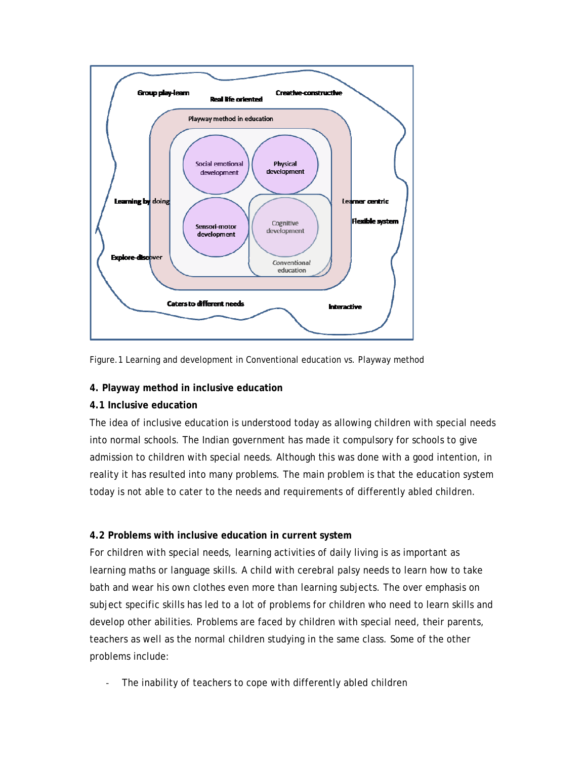

Figure.1 Learning and development in Conventional education vs. Playway method

# **4. Playway method in inclusive education**

## **4.1 Inclusive education**

The idea of inclusive education is understood today as allowing children with special needs into normal schools. The Indian government has made it compulsory for schools to give admission to children with special needs. Although this was done with a good intention, in reality it has resulted into many problems. The main problem is that the education system today is not able to cater to the needs and requirements of differently abled children.

# **4.2 Problems with inclusive education in current system**

For children with special needs, learning activities of daily living is as important as learning maths or language skills. A child with cerebral palsy needs to learn how to take bath and wear his own clothes even more than learning subjects. The over emphasis on subject specific skills has led to a lot of problems for children who need to learn skills and develop other abilities. Problems are faced by children with special need, their parents, teachers as well as the normal children studying in the same class. Some of the other problems include:

The inability of teachers to cope with differently abled children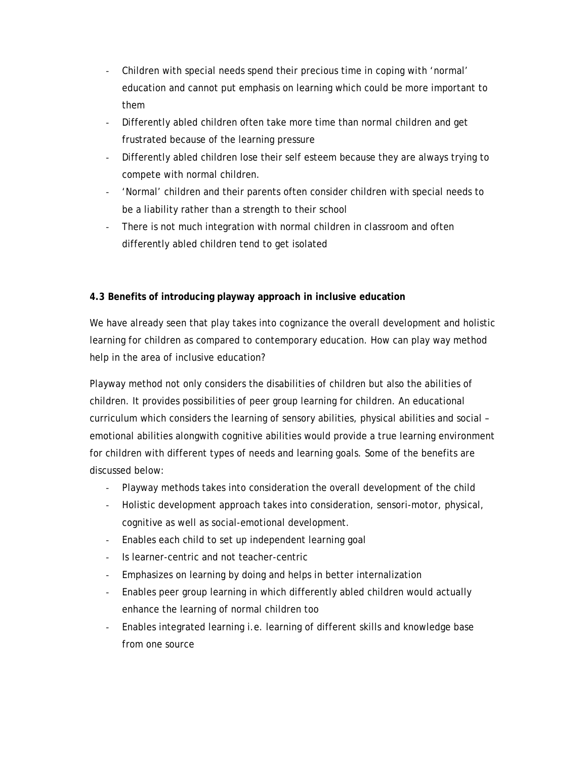- ‐ Children with special needs spend their precious time in coping with 'normal' education and cannot put emphasis on learning which could be more important to them
- ‐ Differently abled children often take more time than normal children and get frustrated because of the learning pressure
- ‐ Differently abled children lose their self esteem because they are always trying to compete with normal children.
- ‐ 'Normal' children and their parents often consider children with special needs to be a liability rather than a strength to their school
- ‐ There is not much integration with normal children in classroom and often differently abled children tend to get isolated

# **4.3 Benefits of introducing playway approach in inclusive education**

We have already seen that play takes into cognizance the overall development and holistic learning for children as compared to contemporary education. How can play way method help in the area of inclusive education?

Playway method not only considers the disabilities of children but also the abilities of children. It provides possibilities of peer group learning for children. An educational curriculum which considers the learning of sensory abilities, physical abilities and social – emotional abilities alongwith cognitive abilities would provide a true learning environment for children with different types of needs and learning goals. Some of the benefits are discussed below:

- ‐ Playway methods takes into consideration the overall development of the child
- ‐ Holistic development approach takes into consideration, sensori-motor, physical, cognitive as well as social-emotional development.
- ‐ Enables each child to set up independent learning goal
- ‐ Is learner-centric and not teacher-centric
- ‐ Emphasizes on learning by doing and helps in better internalization
- ‐ Enables peer group learning in which differently abled children would actually enhance the learning of normal children too
- ‐ Enables integrated learning i.e. learning of different skills and knowledge base from one source